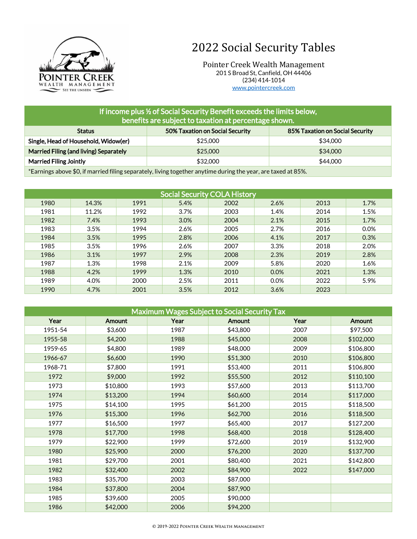

## 2022 Social Security Tables

Pointer Creek Wealth Management 201 S Broad St, Canfield, OH 44406 (234) 414-1014 [www.pointercreek.com](http://www.pointercreek.com/)

| If income plus % of Social Security Benefit exceeds the limits below,<br>benefits are subject to taxation at percentage shown. |          |          |  |  |  |
|--------------------------------------------------------------------------------------------------------------------------------|----------|----------|--|--|--|
| 50% Taxation on Social Security<br>85% Taxation on Social Security<br><b>Status</b>                                            |          |          |  |  |  |
| Single, Head of Household, Widow(er)                                                                                           | \$25,000 | \$34,000 |  |  |  |
| Married Filing (and living) Separately                                                                                         | \$25,000 | \$34,000 |  |  |  |
| <b>Married Filing Jointly</b>                                                                                                  | \$32,000 | \$44,000 |  |  |  |
| *Earnings above \$0, if married filing separately, living together anytime during the year, are taxed at 85%.                  |          |          |  |  |  |

Social Security COLA History 14.3% 1991 5.4% 2002 2.6% 2013 1.7% 11.2% 1992 3.7% 2003 1.4% 2014 1.5% 7.4% 1993 3.0% 2004 2.1% 2015 1.7% 3.5% 1994 2.6% 2005 2.7% 2016 0.0% 3.5% 1995 2.8% 2006 4.1% 2017 0.3% 3.5% 1996 2.6% 2007 3.3% 2018 2.0% 3.1% 1997 2.9% 2008 2.3% 2019 2.8% 1.3% 1998 2.1% 2009 5.8% 2020 1.6% 4.2% 1999 1.3% 2010 0.0% 2021 1.3% 4.0% 2000 2.5% 2011 0.0% 2022 5.9% 4.7% 2001 3.5% 2012 3.6% 2023

| <b>Maximum Wages Subject to Social Security Tax</b> |          |      |               |      |               |  |
|-----------------------------------------------------|----------|------|---------------|------|---------------|--|
| Year                                                | Amount   | Year | <b>Amount</b> | Year | <b>Amount</b> |  |
| 1951-54                                             | \$3,600  | 1987 | \$43,800      | 2007 | \$97,500      |  |
| 1955-58                                             | \$4,200  | 1988 | \$45,000      | 2008 | \$102,000     |  |
| 1959-65                                             | \$4,800  | 1989 | \$48,000      | 2009 | \$106,800     |  |
| 1966-67                                             | \$6,600  | 1990 | \$51,300      | 2010 | \$106,800     |  |
| 1968-71                                             | \$7,800  | 1991 | \$53,400      | 2011 | \$106,800     |  |
| 1972                                                | \$9,000  | 1992 | \$55,500      | 2012 | \$110,100     |  |
| 1973                                                | \$10,800 | 1993 | \$57,600      | 2013 | \$113,700     |  |
| 1974                                                | \$13,200 | 1994 | \$60,600      | 2014 | \$117,000     |  |
| 1975                                                | \$14,100 | 1995 | \$61,200      | 2015 | \$118,500     |  |
| 1976                                                | \$15,300 | 1996 | \$62,700      | 2016 | \$118,500     |  |
| 1977                                                | \$16,500 | 1997 | \$65,400      | 2017 | \$127,200     |  |
| 1978                                                | \$17,700 | 1998 | \$68,400      | 2018 | \$128,400     |  |
| 1979                                                | \$22,900 | 1999 | \$72,600      | 2019 | \$132,900     |  |
| 1980                                                | \$25,900 | 2000 | \$76,200      | 2020 | \$137,700     |  |
| 1981                                                | \$29,700 | 2001 | \$80,400      | 2021 | \$142,800     |  |
| 1982                                                | \$32,400 | 2002 | \$84,900      | 2022 | \$147,000     |  |
| 1983                                                | \$35,700 | 2003 | \$87,000      |      |               |  |
| 1984                                                | \$37,800 | 2004 | \$87,900      |      |               |  |
| 1985                                                | \$39,600 | 2005 | \$90,000      |      |               |  |
| 1986                                                | \$42,000 | 2006 | \$94,200      |      |               |  |